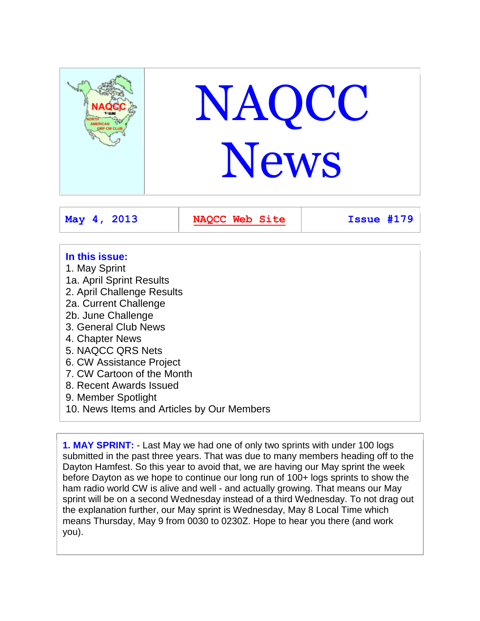

- **In this issue:**
- 1. May Sprint 1a. April Sprint Results
- 2. April Challenge Results
- 2a. Current Challenge
- 2b. June Challenge
- 3. General Club News
- 4. Chapter News
- 5. NAQCC QRS Nets
- 6. CW Assistance Project
- 7. CW Cartoon of the Month
- 8. Recent Awards Issued
- 9. Member Spotlight
- 10. News Items and Articles by Our Members

**1. MAY SPRINT:** - Last May we had one of only two sprints with under 100 logs submitted in the past three years. That was due to many members heading off to the Dayton Hamfest. So this year to avoid that, we are having our May sprint the week before Dayton as we hope to continue our long run of 100+ logs sprints to show the ham radio world CW is alive and well - and actually growing. That means our May sprint will be on a second Wednesday instead of a third Wednesday. To not drag out the explanation further, our May sprint is Wednesday, May 8 Local Time which means Thursday, May 9 from 0030 to 0230Z. Hope to hear you there (and work you).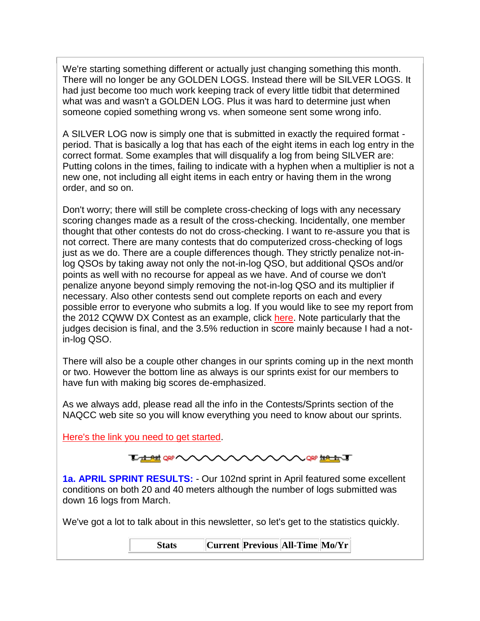We're starting something different or actually just changing something this month. There will no longer be any GOLDEN LOGS. Instead there will be SILVER LOGS. It had just become too much work keeping track of every little tidbit that determined what was and wasn't a GOLDEN LOG. Plus it was hard to determine just when someone copied something wrong vs. when someone sent some wrong info.

A SILVER LOG now is simply one that is submitted in exactly the required format period. That is basically a log that has each of the eight items in each log entry in the correct format. Some examples that will disqualify a log from being SILVER are: Putting colons in the times, failing to indicate with a hyphen when a multiplier is not a new one, not including all eight items in each entry or having them in the wrong order, and so on.

Don't worry; there will still be complete cross-checking of logs with any necessary scoring changes made as a result of the cross-checking. Incidentally, one member thought that other contests do not do cross-checking. I want to re-assure you that is not correct. There are many contests that do computerized cross-checking of logs just as we do. There are a couple differences though. They strictly penalize not-inlog QSOs by taking away not only the not-in-log QSO, but additional QSOs and/or points as well with no recourse for appeal as we have. And of course we don't penalize anyone beyond simply removing the not-in-log QSO and its multiplier if necessary. Also other contests send out complete reports on each and every possible error to everyone who submits a log. If you would like to see my report from the 2012 CQWW DX Contest as an example, click [here.](http://naqcc.info/K3WWP_CQWW_DX_Report.txt) Note particularly that the judges decision is final, and the 3.5% reduction in score mainly because I had a notin-log QSO.

There will also be a couple other changes in our sprints coming up in the next month or two. However the bottom line as always is our sprints exist for our members to have fun with making big scores de-emphasized.

As we always add, please read all the info in the Contests/Sprints section of the NAQCC web site so you will know everything you need to know about our sprints.

[Here's the link you need to get started.](http://naqcc.info/contests.html)

| <b>LANGE AN AVANYAYAY THAT</b> |  |  |  |  |  |
|--------------------------------|--|--|--|--|--|
|--------------------------------|--|--|--|--|--|

**1a. APRIL SPRINT RESULTS:** - Our 102nd sprint in April featured some excellent conditions on both 20 and 40 meters although the number of logs submitted was down 16 logs from March.

We've got a lot to talk about in this newsletter, so let's get to the statistics quickly.

| <b>Stats</b> |  |  | Current  Previous  All-Time  Mo/Yr |  |
|--------------|--|--|------------------------------------|--|
|--------------|--|--|------------------------------------|--|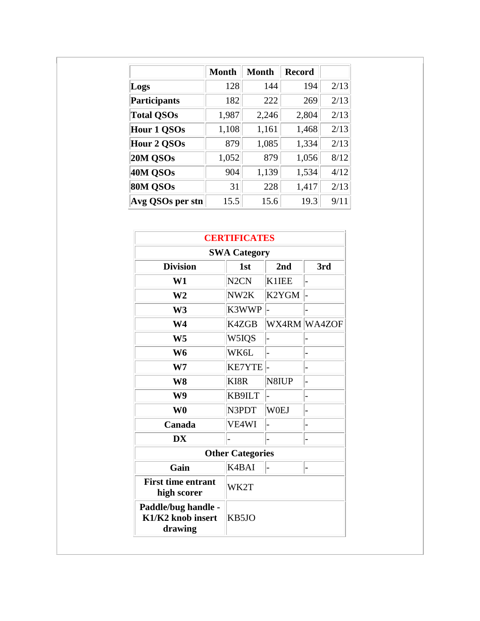|                     | <b>Month</b> | <b>Month</b> | <b>Record</b> |      |
|---------------------|--------------|--------------|---------------|------|
| Logs                | 128          | 144          | 194           | 2/13 |
| <b>Participants</b> | 182          | 222          | 269           | 2/13 |
| <b>Total QSOs</b>   | 1,987        | 2,246        | 2,804         | 2/13 |
| <b>Hour 1 QSOs</b>  | 1,108        | 1,161        | 1,468         | 2/13 |
| <b>Hour 2 QSOs</b>  | 879          | 1,085        | 1,334         | 2/13 |
| 20M QSOs            | 1,052        | 879          | 1,056         | 8/12 |
| 40M QSOs            | 904          | 1,139        | 1,534         | 4/12 |
| 80M QSOs            | 31           | 228          | 1,417         | 2/13 |
| Avg QSOs per stn    | 15.5         | 15.6         | 19.3          | 9/11 |

| <b>CERTIFICATES</b>                                 |                   |             |              |  |  |
|-----------------------------------------------------|-------------------|-------------|--------------|--|--|
| <b>SWA Category</b>                                 |                   |             |              |  |  |
| <b>Division</b>                                     | 1 <sub>st</sub>   | 2nd         | 3rd          |  |  |
| W1                                                  | N <sub>2</sub> CN | K1IEE       |              |  |  |
| W <sub>2</sub>                                      | NW2K              | K2YGM       |              |  |  |
| W <sub>3</sub>                                      | K3WWP             |             |              |  |  |
| W <sub>4</sub>                                      | K4ZGB             |             | WX4RM WA4ZOF |  |  |
| W <sub>5</sub>                                      | W5IQS             |             |              |  |  |
| W <sub>6</sub>                                      | WK6L              |             |              |  |  |
| W <sub>7</sub>                                      | <b>KE7YTE</b>     |             |              |  |  |
| W8                                                  | KI8R              | N8IUP       |              |  |  |
| W <sub>9</sub>                                      | KB9ILT            |             |              |  |  |
| W <sub>0</sub>                                      | N3PDT             | <b>W0EJ</b> |              |  |  |
| Canada                                              | VE4WI             |             |              |  |  |
| <b>DX</b>                                           |                   |             |              |  |  |
| <b>Other Categories</b>                             |                   |             |              |  |  |
| Gain                                                | K4BAI             |             |              |  |  |
| <b>First time entrant</b><br>high scorer            | WK2T              |             |              |  |  |
| Paddle/bug handle -<br>K1/K2 knob insert<br>drawing | KB5JO             |             |              |  |  |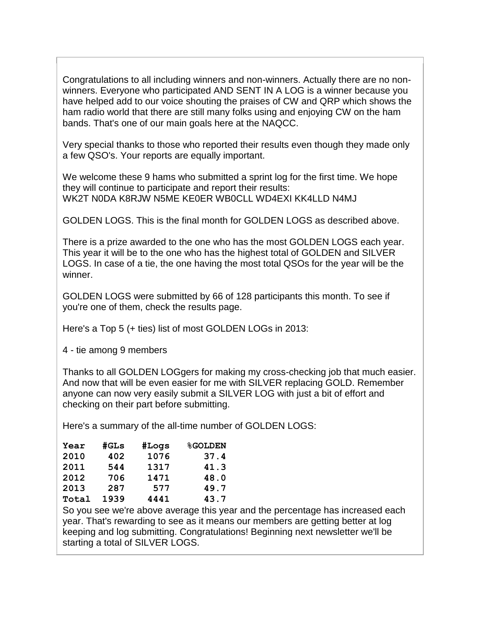Congratulations to all including winners and non-winners. Actually there are no nonwinners. Everyone who participated AND SENT IN A LOG is a winner because you have helped add to our voice shouting the praises of CW and QRP which shows the ham radio world that there are still many folks using and enjoying CW on the ham bands. That's one of our main goals here at the NAQCC.

Very special thanks to those who reported their results even though they made only a few QSO's. Your reports are equally important.

We welcome these 9 hams who submitted a sprint log for the first time. We hope they will continue to participate and report their results: WK2T N0DA K8RJW N5ME KE0ER WB0CLL WD4EXI KK4LLD N4MJ

GOLDEN LOGS. This is the final month for GOLDEN LOGS as described above.

There is a prize awarded to the one who has the most GOLDEN LOGS each year. This year it will be to the one who has the highest total of GOLDEN and SILVER LOGS. In case of a tie, the one having the most total QSOs for the year will be the winner.

GOLDEN LOGS were submitted by 66 of 128 participants this month. To see if you're one of them, check the results page.

Here's a Top 5 (+ ties) list of most GOLDEN LOGs in 2013:

4 - tie among 9 members

Thanks to all GOLDEN LOGgers for making my cross-checking job that much easier. And now that will be even easier for me with SILVER replacing GOLD. Remember anyone can now very easily submit a SILVER LOG with just a bit of effort and checking on their part before submitting.

Here's a summary of the all-time number of GOLDEN LOGS:

| Year  | #GLs | #Logs | <b>%GOLDEN</b> |
|-------|------|-------|----------------|
| 2010  | 402  | 1076  | 37.4           |
| 2011  | 544  | 1317  | 41.3           |
| 2012  | 706  | 1471  | 48.0           |
| 2013  | 287  | 577   | 49.7           |
| Total | 1939 | 4441  | 43.7           |

So you see we're above average this year and the percentage has increased each year. That's rewarding to see as it means our members are getting better at log keeping and log submitting. Congratulations! Beginning next newsletter we'll be starting a total of SILVER LOGS.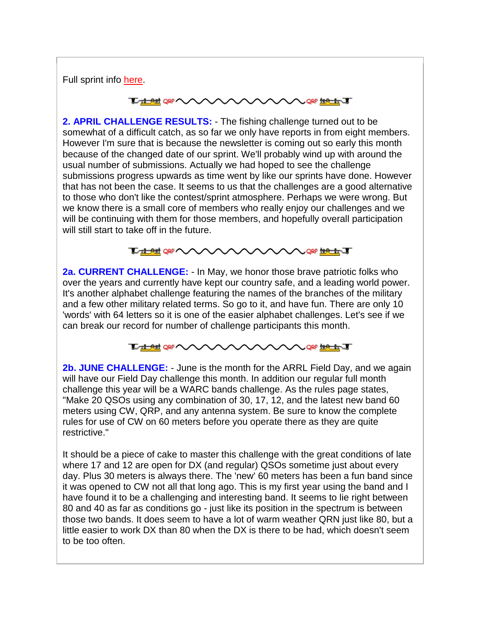Full sprint info [here.](http://naqcc.info/contests.html)

#### **LABE ORP** QRP #PO #CR

**2. APRIL CHALLENGE RESULTS:** - The fishing challenge turned out to be somewhat of a difficult catch, as so far we only have reports in from eight members. However I'm sure that is because the newsletter is coming out so early this month because of the changed date of our sprint. We'll probably wind up with around the usual number of submissions. Actually we had hoped to see the challenge submissions progress upwards as time went by like our sprints have done. However that has not been the case. It seems to us that the challenges are a good alternative to those who don't like the contest/sprint atmosphere. Perhaps we were wrong. But we know there is a small core of members who really enjoy our challenges and we will be continuing with them for those members, and hopefully overall participation will still start to take off in the future.



**2a. CURRENT CHALLENGE:** - In May, we honor those brave patriotic folks who over the years and currently have kept our country safe, and a leading world power. It's another alphabet challenge featuring the names of the branches of the military and a few other military related terms. So go to it, and have fun. There are only 10 'words' with 64 letters so it is one of the easier alphabet challenges. Let's see if we can break our record for number of challenge participants this month.



**2b. JUNE CHALLENGE:** - June is the month for the ARRL Field Day, and we again will have our Field Day challenge this month. In addition our regular full month challenge this year will be a WARC bands challenge. As the rules page states, "Make 20 QSOs using any combination of 30, 17, 12, and the latest new band 60 meters using CW, QRP, and any antenna system. Be sure to know the complete rules for use of CW on 60 meters before you operate there as they are quite restrictive."

It should be a piece of cake to master this challenge with the great conditions of late where 17 and 12 are open for DX (and regular) QSOs sometime just about every day. Plus 30 meters is always there. The 'new' 60 meters has been a fun band since it was opened to CW not all that long ago. This is my first year using the band and I have found it to be a challenging and interesting band. It seems to lie right between 80 and 40 as far as conditions go - just like its position in the spectrum is between those two bands. It does seem to have a lot of warm weather QRN just like 80, but a little easier to work DX than 80 when the DX is there to be had, which doesn't seem to be too often.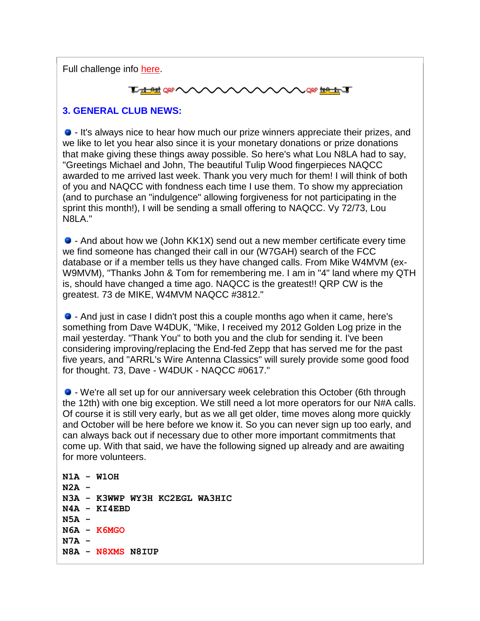Full challenge info [here.](http://naqcc.info/challenges.html)

#### **LADRE ORP QRP #PE# JF**

#### **3. GENERAL CLUB NEWS:**

- It's always nice to hear how much our prize winners appreciate their prizes, and we like to let you hear also since it is your monetary donations or prize donations that make giving these things away possible. So here's what Lou N8LA had to say, "Greetings Michael and John, The beautiful Tulip Wood fingerpieces NAQCC awarded to me arrived last week. Thank you very much for them! I will think of both of you and NAQCC with fondness each time I use them. To show my appreciation (and to purchase an "indulgence" allowing forgiveness for not participating in the sprint this month!), I will be sending a small offering to NAQCC. Vy 72/73, Lou N8LA."

- And about how we (John KK1X) send out a new member certificate every time we find someone has changed their call in our (W7GAH) search of the FCC database or if a member tells us they have changed calls. From Mike W4MVM (ex-W9MVM), "Thanks John & Tom for remembering me. I am in "4" land where my QTH is, should have changed a time ago. NAQCC is the greatest!! QRP CW is the greatest. 73 de MIKE, W4MVM NAQCC #3812."

- And just in case I didn't post this a couple months ago when it came, here's something from Dave W4DUK, "Mike, I received my 2012 Golden Log prize in the mail yesterday. "Thank You" to both you and the club for sending it. I've been considering improving/replacing the End-fed Zepp that has served me for the past five years, and "ARRL's Wire Antenna Classics" will surely provide some good food for thought. 73, Dave - W4DUK - NAQCC #0617."

- We're all set up for our anniversary week celebration this October (6th through the 12th) with one big exception. We still need a lot more operators for our N#A calls. Of course it is still very early, but as we all get older, time moves along more quickly and October will be here before we know it. So you can never sign up too early, and can always back out if necessary due to other more important commitments that come up. With that said, we have the following signed up already and are awaiting for more volunteers.

**N1A - W1OH N2A - N3A - K3WWP WY3H KC2EGL WA3HIC N4A - KI4EBD N5A - N6A - K6MGO N7A - N8A - N8XMS N8IUP**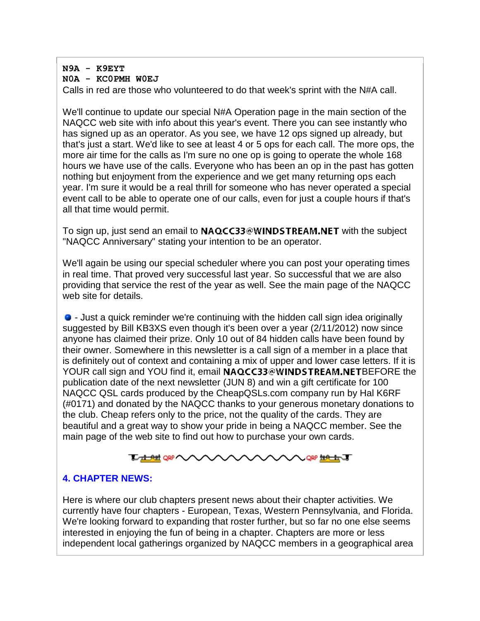## **N9A - K9EYT N0A - KC0PMH W0EJ**

Calls in red are those who volunteered to do that week's sprint with the N#A call.

We'll continue to update our special N#A Operation page in the main section of the NAQCC web site with info about this year's event. There you can see instantly who has signed up as an operator. As you see, we have 12 ops signed up already, but that's just a start. We'd like to see at least 4 or 5 ops for each call. The more ops, the more air time for the calls as I'm sure no one op is going to operate the whole 168 hours we have use of the calls. Everyone who has been an op in the past has gotten nothing but enjoyment from the experience and we get many returning ops each year. I'm sure it would be a real thrill for someone who has never operated a special event call to be able to operate one of our calls, even for just a couple hours if that's all that time would permit.

To sign up, just send an email to  $NAQCC33@WINDSTREAM.NET$  with the subject "NAQCC Anniversary" stating your intention to be an operator.

We'll again be using our special scheduler where you can post your operating times in real time. That proved very successful last year. So successful that we are also providing that service the rest of the year as well. See the main page of the NAQCC web site for details.

- Just a quick reminder we're continuing with the hidden call sign idea originally suggested by Bill KB3XS even though it's been over a year (2/11/2012) now since anyone has claimed their prize. Only 10 out of 84 hidden calls have been found by their owner. Somewhere in this newsletter is a call sign of a member in a place that is definitely out of context and containing a mix of upper and lower case letters. If it is YOUR call sign and YOU find it, email NAQCC33@WINDSTREAM.NETBEFORE the publication date of the next newsletter (JUN 8) and win a gift certificate for 100 NAQCC QSL cards produced by the CheapQSLs.com company run by Hal K6RF (#0171) and donated by the NAQCC thanks to your generous monetary donations to the club. Cheap refers only to the price, not the quality of the cards. They are beautiful and a great way to show your pride in being a NAQCC member. See the main page of the web site to find out how to purchase your own cards.



## **4. CHAPTER NEWS:**

Here is where our club chapters present news about their chapter activities. We currently have four chapters - European, Texas, Western Pennsylvania, and Florida. We're looking forward to expanding that roster further, but so far no one else seems interested in enjoying the fun of being in a chapter. Chapters are more or less independent local gatherings organized by NAQCC members in a geographical area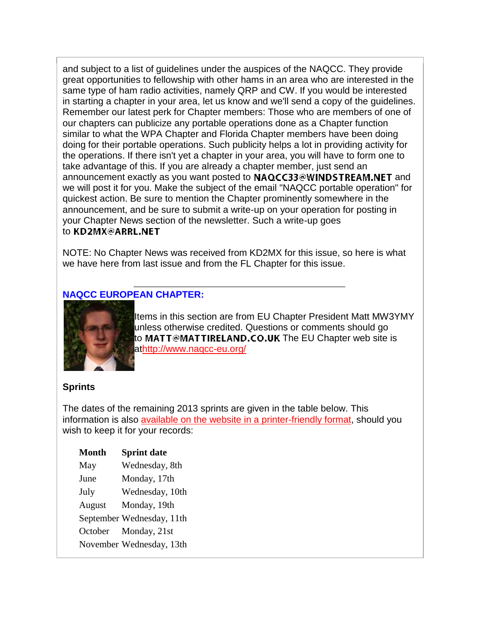and subject to a list of guidelines under the auspices of the NAQCC. They provide great opportunities to fellowship with other hams in an area who are interested in the same type of ham radio activities, namely QRP and CW. If you would be interested in starting a chapter in your area, let us know and we'll send a copy of the guidelines. Remember our latest perk for Chapter members: Those who are members of one of our chapters can publicize any portable operations done as a Chapter function similar to what the WPA Chapter and Florida Chapter members have been doing doing for their portable operations. Such publicity helps a lot in providing activity for the operations. If there isn't yet a chapter in your area, you will have to form one to take advantage of this. If you are already a chapter member, just send an announcement exactly as you want posted to NAQCC33@WINDSTREAM.NET and we will post it for you. Make the subject of the email "NAQCC portable operation" for quickest action. Be sure to mention the Chapter prominently somewhere in the announcement, and be sure to submit a write-up on your operation for posting in your Chapter News section of the newsletter. Such a write-up goes to KD2MX@ARRL.NET

NOTE: No Chapter News was received from KD2MX for this issue, so here is what we have here from last issue and from the FL Chapter for this issue.

### **NAQCC EUROPEAN CHAPTER:**



Items in this section are from EU Chapter President Matt MW3YMY unless otherwise credited. Questions or comments should go to MATT@MATTIRELAND.CO.UK The EU Chapter web site is a[thttp://www.naqcc-eu.org/](http://www.naqcc-eu.org/)

#### **Sprints**

The dates of the remaining 2013 sprints are given in the table below. This information is also [available on the website in a printer-friendly format,](http://naqcc-eu.org/sprints/rules/2013_sprint_schedule.pdf) should you wish to keep it for your records:

| <b>Month</b> | <b>Sprint date</b>        |
|--------------|---------------------------|
| May          | Wednesday, 8th            |
| June         | Monday, 17th              |
| July         | Wednesday, 10th           |
| August       | Monday, 19th              |
|              | September Wednesday, 11th |
|              | October Monday, 21st      |
|              | November Wednesday, 13th  |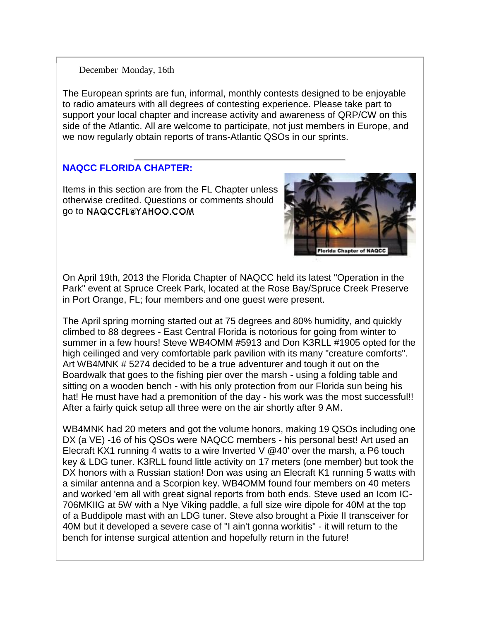#### December Monday, 16th

The European sprints are fun, informal, monthly contests designed to be enjoyable to radio amateurs with all degrees of contesting experience. Please take part to support your local chapter and increase activity and awareness of QRP/CW on this side of the Atlantic. All are welcome to participate, not just members in Europe, and we now regularly obtain reports of trans-Atlantic QSOs in our sprints.

### **NAQCC FLORIDA CHAPTER:**

Items in this section are from the FL Chapter unless otherwise credited. Questions or comments should go to NAQCCFL@YAHOO.COM



On April 19th, 2013 the Florida Chapter of NAQCC held its latest "Operation in the Park" event at Spruce Creek Park, located at the Rose Bay/Spruce Creek Preserve in Port Orange, FL; four members and one guest were present.

The April spring morning started out at 75 degrees and 80% humidity, and quickly climbed to 88 degrees - East Central Florida is notorious for going from winter to summer in a few hours! Steve WB4OMM #5913 and Don K3RLL #1905 opted for the high ceilinged and very comfortable park pavilion with its many "creature comforts". Art WB4MNK # 5274 decided to be a true adventurer and tough it out on the Boardwalk that goes to the fishing pier over the marsh - using a folding table and sitting on a wooden bench - with his only protection from our Florida sun being his hat! He must have had a premonition of the day - his work was the most successful!! After a fairly quick setup all three were on the air shortly after 9 AM.

WB4MNK had 20 meters and got the volume honors, making 19 QSOs including one DX (a VE) -16 of his QSOs were NAQCC members - his personal best! Art used an Elecraft KX1 running 4 watts to a wire Inverted V @40' over the marsh, a P6 touch key & LDG tuner. K3RLL found little activity on 17 meters (one member) but took the DX honors with a Russian station! Don was using an Elecraft K1 running 5 watts with a similar antenna and a Scorpion key. WB4OMM found four members on 40 meters and worked 'em all with great signal reports from both ends. Steve used an Icom IC-706MKIIG at 5W with a Nye Viking paddle, a full size wire dipole for 40M at the top of a Buddipole mast with an LDG tuner. Steve also brought a Pixie II transceiver for 40M but it developed a severe case of "I ain't gonna workitis" - it will return to the bench for intense surgical attention and hopefully return in the future!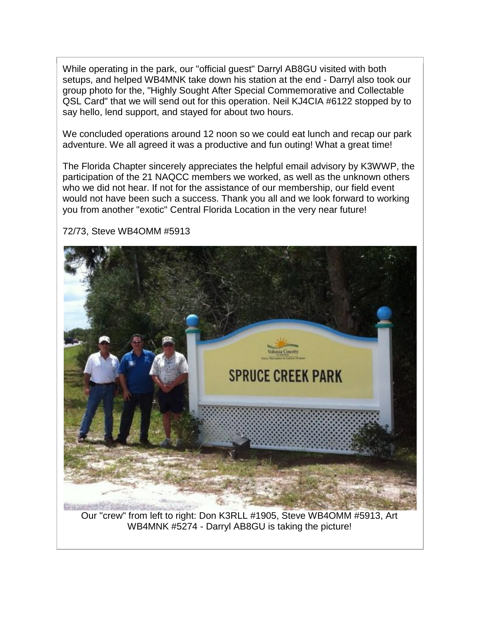While operating in the park, our "official guest" Darryl AB8GU visited with both setups, and helped WB4MNK take down his station at the end - Darryl also took our group photo for the, "Highly Sought After Special Commemorative and Collectable QSL Card" that we will send out for this operation. Neil KJ4CIA #6122 stopped by to say hello, lend support, and stayed for about two hours.

We concluded operations around 12 noon so we could eat lunch and recap our park adventure. We all agreed it was a productive and fun outing! What a great time!

The Florida Chapter sincerely appreciates the helpful email advisory by K3WWP, the participation of the 21 NAQCC members we worked, as well as the unknown others who we did not hear. If not for the assistance of our membership, our field event would not have been such a success. Thank you all and we look forward to working you from another "exotic" Central Florida Location in the very near future!



72/73, Steve WB4OMM #5913

Our "crew" from left to right: Don K3RLL #1905, Steve WB4OMM #5913, Art WB4MNK #5274 - Darryl AB8GU is taking the picture!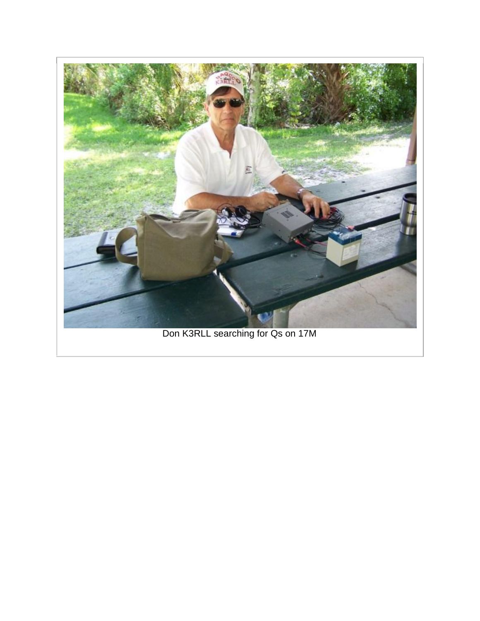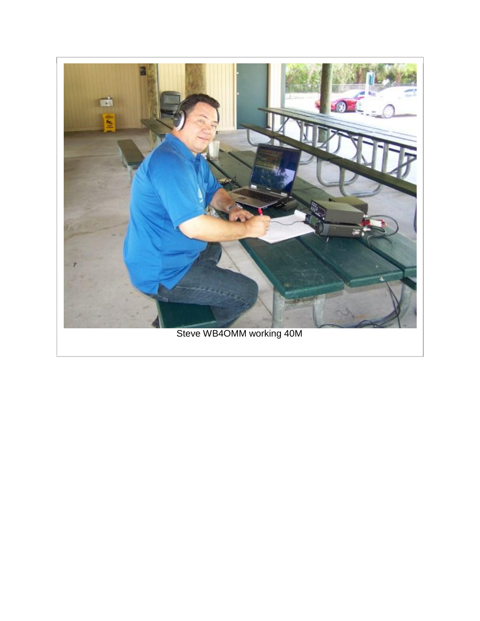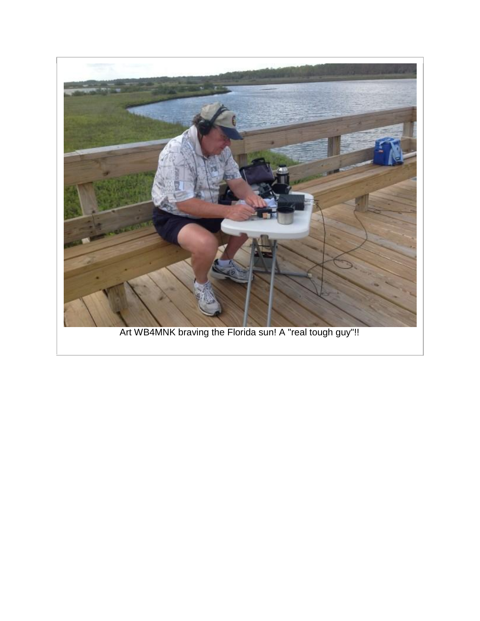

Art WB4MNK braving the Florida sun! A "real tough guy"!!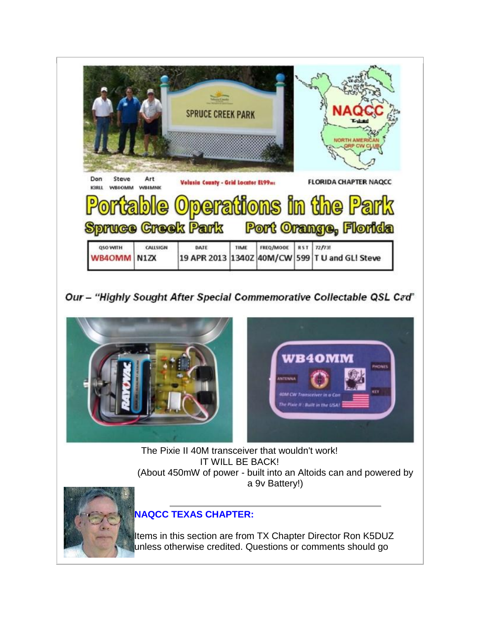

Our - "Highly Sought After Special Commemorative Collectable QSL Cad"



The Pixie II 40M transceiver that wouldn't work! IT WILL BE BACK! (About 450mW of power - built into an Altoids can and powered by a 9v Battery!)



# **NAQCC TEXAS CHAPTER:**

Items in this section are from TX Chapter Director Ron K5DUZ unless otherwise credited. Questions or comments should go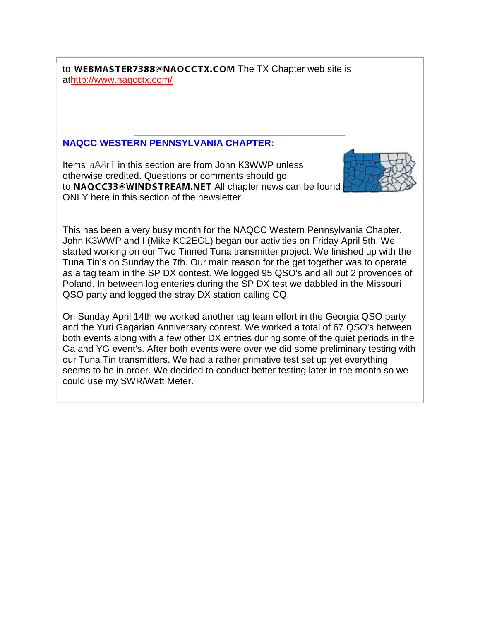to WEBMASTER7388@NAQCCTX.COM The TX Chapter web site is a[thttp://www.naqcctx.com/](http://www.naqcctx.com/)

#### **NAQCC WESTERN PENNSYLVANIA CHAPTER:**

Items  $aA8rT$  in this section are from John K3WWP unless otherwise credited. Questions or comments should go to NAQCC33@WINDSTREAM.NET All chapter news can be found ONLY here in this section of the newsletter.



This has been a very busy month for the NAQCC Western Pennsylvania Chapter. John K3WWP and I (Mike KC2EGL) began our activities on Friday April 5th. We started working on our Two Tinned Tuna transmitter project. We finished up with the Tuna Tin's on Sunday the 7th. Our main reason for the get together was to operate as a tag team in the SP DX contest. We logged 95 QSO's and all but 2 provences of Poland. In between log enteries during the SP DX test we dabbled in the Missouri QSO party and logged the stray DX station calling CQ.

On Sunday April 14th we worked another tag team effort in the Georgia QSO party and the Yuri Gagarian Anniversary contest. We worked a total of 67 QSO's between both events along with a few other DX entries during some of the quiet periods in the Ga and YG event's. After both events were over we did some preliminary testing with our Tuna Tin transmitters. We had a rather primative test set up yet everything seems to be in order. We decided to conduct better testing later in the month so we could use my SWR/Watt Meter.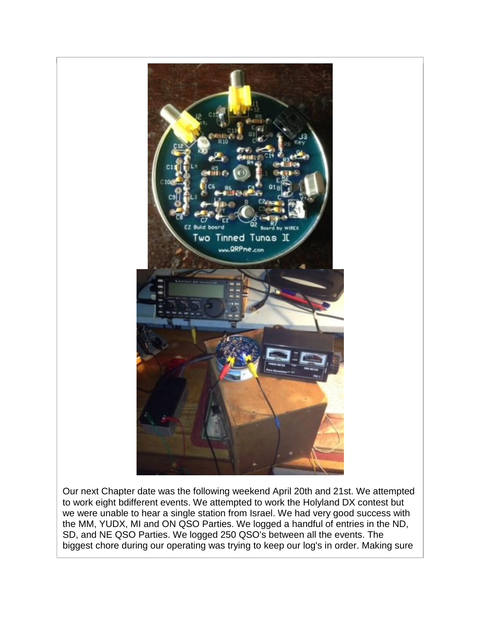

Our next Chapter date was the following weekend April 20th and 21st. We attempted to work eight bdifferent events. We attempted to work the Holyland DX contest but we were unable to hear a single station from Israel. We had very good success with the MM, YUDX, MI and ON QSO Parties. We logged a handful of entries in the ND, SD, and NE QSO Parties. We logged 250 QSO's between all the events. The biggest chore during our operating was trying to keep our log's in order. Making sure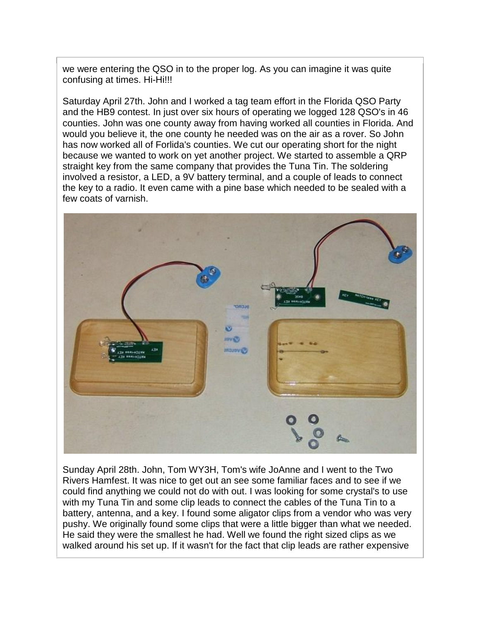we were entering the QSO in to the proper log. As you can imagine it was quite confusing at times. Hi-Hi!!!

Saturday April 27th. John and I worked a tag team effort in the Florida QSO Party and the HB9 contest. In just over six hours of operating we logged 128 QSO's in 46 counties. John was one county away from having worked all counties in Florida. And would you believe it, the one county he needed was on the air as a rover. So John has now worked all of Forlida's counties. We cut our operating short for the night because we wanted to work on yet another project. We started to assemble a QRP straight key from the same company that provides the Tuna Tin. The soldering involved a resistor, a LED, a 9V battery terminal, and a couple of leads to connect the key to a radio. It even came with a pine base which needed to be sealed with a few coats of varnish.



Sunday April 28th. John, Tom WY3H, Tom's wife JoAnne and I went to the Two Rivers Hamfest. It was nice to get out an see some familiar faces and to see if we could find anything we could not do with out. I was looking for some crystal's to use with my Tuna Tin and some clip leads to connect the cables of the Tuna Tin to a battery, antenna, and a key. I found some aligator clips from a vendor who was very pushy. We originally found some clips that were a little bigger than what we needed. He said they were the smallest he had. Well we found the right sized clips as we walked around his set up. If it wasn't for the fact that clip leads are rather expensive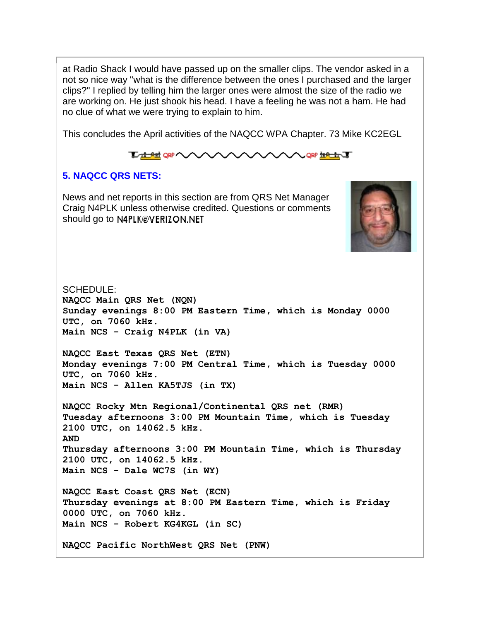at Radio Shack I would have passed up on the smaller clips. The vendor asked in a not so nice way "what is the difference between the ones I purchased and the larger clips?" I replied by telling him the larger ones were almost the size of the radio we are working on. He just shook his head. I have a feeling he was not a ham. He had no clue of what we were trying to explain to him.

This concludes the April activities of the NAQCC WPA Chapter. 73 Mike KC2EGL

#### **TO THE ORP QRP HOLLEY JE**

#### **5. NAQCC QRS NETS:**

News and net reports in this section are from QRS Net Manager Craig N4PLK unless otherwise credited. Questions or comments should go to N4PLK@VERIZON.NET



SCHEDULE: **NAQCC Main QRS Net (NQN) Sunday evenings 8:00 PM Eastern Time, which is Monday 0000 UTC, on 7060 kHz. Main NCS - Craig N4PLK (in VA) NAQCC East Texas QRS Net (ETN) Monday evenings 7:00 PM Central Time, which is Tuesday 0000 UTC, on 7060 kHz. Main NCS - Allen KA5TJS (in TX) NAQCC Rocky Mtn Regional/Continental QRS net (RMR) Tuesday afternoons 3:00 PM Mountain Time, which is Tuesday 2100 UTC, on 14062.5 kHz. AND Thursday afternoons 3:00 PM Mountain Time, which is Thursday 2100 UTC, on 14062.5 kHz. Main NCS - Dale WC7S (in WY) NAQCC East Coast QRS Net (ECN) Thursday evenings at 8:00 PM Eastern Time, which is Friday 0000 UTC, on 7060 kHz. Main NCS - Robert KG4KGL (in SC) NAQCC Pacific NorthWest QRS Net (PNW)**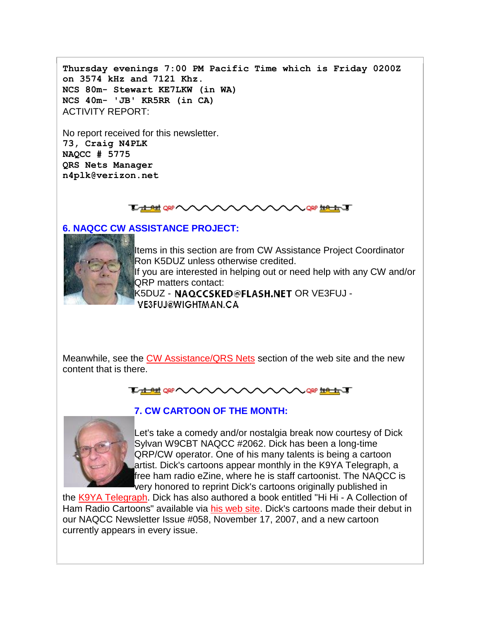**Thursday evenings 7:00 PM Pacific Time which is Friday 0200Z on 3574 kHz and 7121 Khz. NCS 80m- Stewart KE7LKW (in WA) NCS 40m- 'JB' KR5RR (in CA)** ACTIVITY REPORT:

No report received for this newsletter. **73, Craig N4PLK NAQCC # 5775 QRS Nets Manager n4plk@verizon.net**

#### **Extration VVV**

#### **6. NAQCC CW ASSISTANCE PROJECT:**



Items in this section are from CW Assistance Project Coordinator Ron K5DUZ unless otherwise credited. If you are interested in helping out or need help with any CW and/or QRP matters contact: K5DUZ - NAQCCSKED@FLASH.NET OR VE3FUJ -**VE3FUJ@WIGHTMAN.CA** 

Meanwhile, see the [CW Assistance/QRS Nets](http://naqcc.info/cw.html) section of the web site and the new content that is there.





## **7. CW CARTOON OF THE MONTH:**

Let's take a comedy and/or nostalgia break now courtesy of Dick Sylvan W9CBT NAQCC #2062. Dick has been a long-time QRP/CW operator. One of his many talents is being a cartoon artist. Dick's cartoons appear monthly in the K9YA Telegraph, a free ham radio eZine, where he is staff cartoonist. The NAQCC is very honored to reprint Dick's cartoons originally published in

the [K9YA Telegraph.](http://www.k9ya.org/) Dick has also authored a book entitled "Hi Hi - A Collection of Ham Radio Cartoons" available via [his web site.](http://www.k9ya.org/w9cbt/) Dick's cartoons made their debut in our NAQCC Newsletter Issue #058, November 17, 2007, and a new cartoon currently appears in every issue.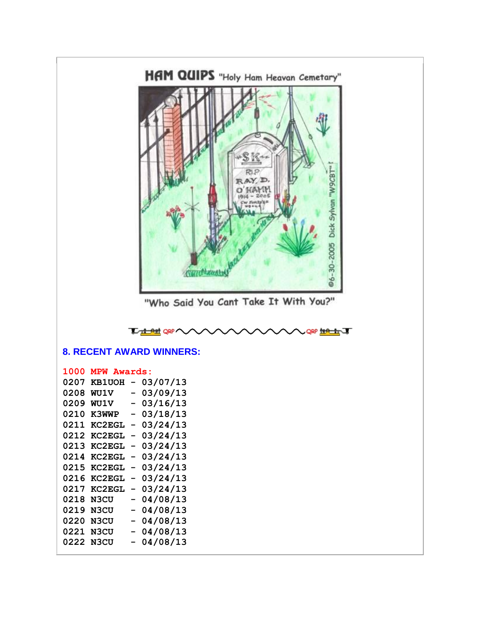

"Who Said You Cant Take It With You?"

|  | <b>TALLER OF VALAVAVAVAVAVAVALE ERAT</b> |  |
|--|------------------------------------------|--|
|  |                                          |  |

### **8. RECENT AWARD WINNERS:**

#### **1000 MPW Awards:**

| 0207 | <b>KB1UOH</b> |                | 03/07/13 |
|------|---------------|----------------|----------|
| 0208 | <b>WU1V</b>   | -              | 03/09/13 |
| 0209 | <b>WU1V</b>   | -              | 03/16/13 |
| 0210 | <b>K3WWP</b>  | -              | 03/18/13 |
| 0211 | <b>KC2EGL</b> | -              | 03/24/13 |
| 0212 | <b>KC2EGL</b> | -              | 03/24/13 |
| 0213 | <b>KC2EGL</b> | -              | 03/24/13 |
| 0214 | <b>KC2EGL</b> | -              | 03/24/13 |
| 0215 | <b>KC2EGL</b> | -              | 03/24/13 |
| 0216 | <b>KC2EGL</b> | -              | 03/24/13 |
| 0217 | <b>KC2EGL</b> | -              | 03/24/13 |
| 0218 | N3CU          | -              | 04/08/13 |
| 0219 | N3CU          | -              | 04/08/13 |
| 0220 | N3CU          | -              | 04/08/13 |
| 0221 | N3CU          | $\overline{a}$ | 04/08/13 |
| 0222 | N3CU          |                | 04/08/13 |
|      |               |                |          |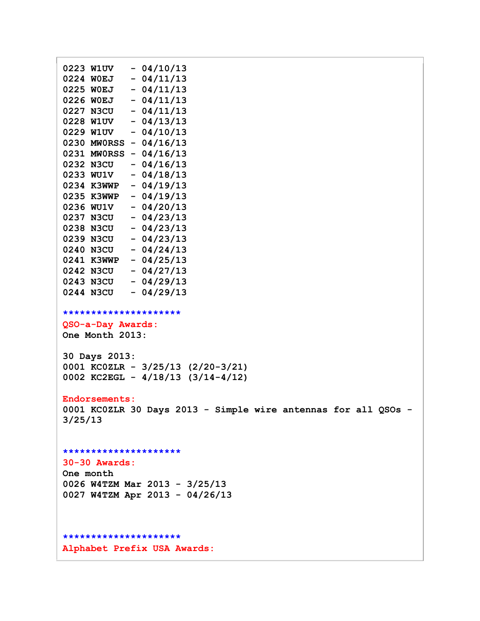```
0223 W1UV - 04/10/13
0224 W0EJ - 04/11/13
0225 W0EJ - 04/11/13
0226 W0EJ - 04/11/13
0227 N3CU - 04/11/13
0228 W1UV - 04/13/13
0229 W1UV - 04/10/13
0230 MW0RSS - 04/16/13
0231 MW0RSS - 04/16/13
0232 N3CU - 04/16/13
0233 WU1V - 04/18/13
0234 K3WWP - 04/19/13
0235 K3WWP - 04/19/13
0236 WU1V - 04/20/13
0237 N3CU - 04/23/13
0238 N3CU - 04/23/13
0239 N3CU - 04/23/13
0240 N3CU - 04/24/13
0241 K3WWP - 04/25/13
0242 N3CU - 04/27/13
0243 N3CU - 04/29/13
0244 N3CU - 04/29/13
*********************
QSO-a-Day Awards:
One Month 2013:
30 Days 2013:
0001 KC0ZLR - 3/25/13 (2/20-3/21)
0002 KC2EGL - 4/18/13 (3/14-4/12)
Endorsements:
0001 KC0ZLR 30 Days 2013 - Simple wire antennas for all QSOs -
3/25/13
*********************
30-30 Awards:
One month
0026 W4TZM Mar 2013 - 3/25/13
0027 W4TZM Apr 2013 - 04/26/13
*********************
Alphabet Prefix USA Awards:
```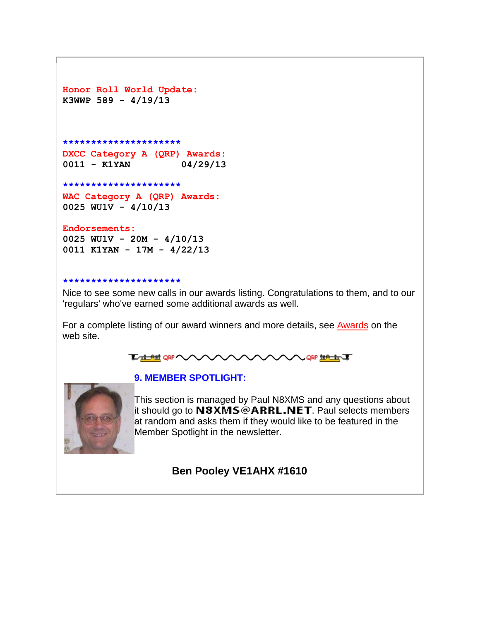```
Honor Roll World Update:
K3WWP 589 - 4/19/13
```

```
*********************
DXCC Category A (QRP) Awards:
0011 - K1YAN 04/29/13
```
**\*\*\*\*\*\*\*\*\*\*\*\*\*\*\*\*\*\*\*\*\***

**WAC Category A (QRP) Awards: 0025 WU1V - 4/10/13**

**Endorsements:**

**0025 WU1V - 20M - 4/10/13 0011 K1YAN - 17M - 4/22/13**

#### **\*\*\*\*\*\*\*\*\*\*\*\*\*\*\*\*\*\*\*\*\***

Nice to see some new calls in our awards listing. Congratulations to them, and to our 'regulars' who've earned some additional awards as well.

For a complete listing of our award winners and more details, see **[Awards](http://naqcc.info/awards.html)** on the web site.



#### **9. MEMBER SPOTLIGHT:**



This section is managed by Paul N8XMS and any questions about it should go to  $N3XMS@ARRL.NET$ . Paul selects members at random and asks them if they would like to be featured in the Member Spotlight in the newsletter.

#### **Ben Pooley VE1AHX #1610**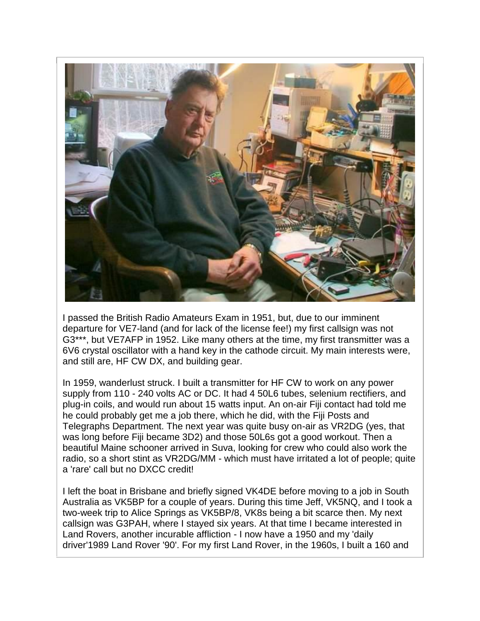

I passed the British Radio Amateurs Exam in 1951, but, due to our imminent departure for VE7-land (and for lack of the license fee!) my first callsign was not G3\*\*\*, but VE7AFP in 1952. Like many others at the time, my first transmitter was a 6V6 crystal oscillator with a hand key in the cathode circuit. My main interests were, and still are, HF CW DX, and building gear.

In 1959, wanderlust struck. I built a transmitter for HF CW to work on any power supply from 110 - 240 volts AC or DC. It had 4 50L6 tubes, selenium rectifiers, and plug-in coils, and would run about 15 watts input. An on-air Fiji contact had told me he could probably get me a job there, which he did, with the Fiji Posts and Telegraphs Department. The next year was quite busy on-air as VR2DG (yes, that was long before Fiji became 3D2) and those 50L6s got a good workout. Then a beautiful Maine schooner arrived in Suva, looking for crew who could also work the radio, so a short stint as VR2DG/MM - which must have irritated a lot of people; quite a 'rare' call but no DXCC credit!

I left the boat in Brisbane and briefly signed VK4DE before moving to a job in South Australia as VK5BP for a couple of years. During this time Jeff, VK5NQ, and I took a two-week trip to Alice Springs as VK5BP/8, VK8s being a bit scarce then. My next callsign was G3PAH, where I stayed six years. At that time I became interested in Land Rovers, another incurable affliction - I now have a 1950 and my 'daily driver'1989 Land Rover '90'. For my first Land Rover, in the 1960s, I built a 160 and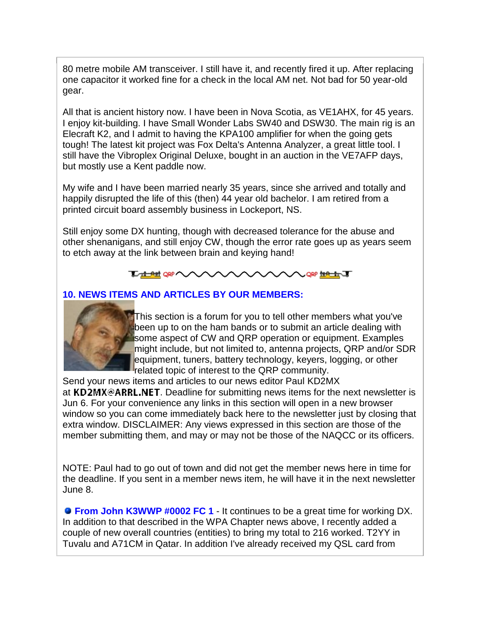80 metre mobile AM transceiver. I still have it, and recently fired it up. After replacing one capacitor it worked fine for a check in the local AM net. Not bad for 50 year-old gear.

All that is ancient history now. I have been in Nova Scotia, as VE1AHX, for 45 years. I enjoy kit-building. I have Small Wonder Labs SW40 and DSW30. The main rig is an Elecraft K2, and I admit to having the KPA100 amplifier for when the going gets tough! The latest kit project was Fox Delta's Antenna Analyzer, a great little tool. I still have the Vibroplex Original Deluxe, bought in an auction in the VE7AFP days, but mostly use a Kent paddle now.

My wife and I have been married nearly 35 years, since she arrived and totally and happily disrupted the life of this (then) 44 year old bachelor. I am retired from a printed circuit board assembly business in Lockeport, NS.

Still enjoy some DX hunting, though with decreased tolerance for the abuse and other shenanigans, and still enjoy CW, though the error rate goes up as years seem to etch away at the link between brain and keying hand!



#### **10. NEWS ITEMS AND ARTICLES BY OUR MEMBERS:**



This section is a forum for you to tell other members what you've been up to on the ham bands or to submit an article dealing with some aspect of CW and QRP operation or equipment. Examples might include, but not limited to, antenna projects, QRP and/or SDR equipment, tuners, battery technology, keyers, logging, or other related topic of interest to the QRP community.

Send your news items and articles to our news editor Paul KD2MX at KD2MX@ARRL.NET. Deadline for submitting news items for the next newsletter is Jun 6. For your convenience any links in this section will open in a new browser window so you can come immediately back here to the newsletter just by closing that extra window. DISCLAIMER: Any views expressed in this section are those of the member submitting them, and may or may not be those of the NAQCC or its officers.

NOTE: Paul had to go out of town and did not get the member news here in time for the deadline. If you sent in a member news item, he will have it in the next newsletter June 8.

**From John K3WWP #0002 FC 1** - It continues to be a great time for working DX. In addition to that described in the WPA Chapter news above, I recently added a couple of new overall countries (entities) to bring my total to 216 worked. T2YY in Tuvalu and A71CM in Qatar. In addition I've already received my QSL card from